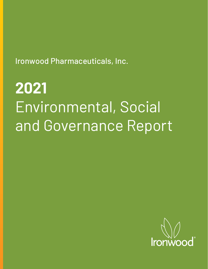Ironwood Pharmaceuticals, Inc.

# **2021**  Environmental, Social and Governance Report

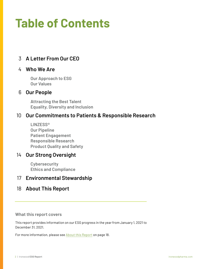## **Table of Contents**

## 3 **[A Letter From Our CEO](#page-2-0)**

### 4 **[Who We Are](#page-3-0)**

**Our Approach to ESG Our Values**

### 6 **[Our People](#page-5-0)**

**Attracting the Best Talent Equality, Diversity and Inclusion**

### 10 **[Our Commitments to Patients & Responsible Research](#page-9-0)**

**LINZESS® Our Pipeline Patient Engagement Responsible Research Product Quality and Safety**

## 14 **[Our Strong Oversight](#page-13-0)**

**Cybersecurity Ethics and Compliance**

## 17 **[Environmental Stewardship](#page-16-0)**

### 18 **[About This Report](#page-17-0)**

#### **What this report covers**

This report provides information on our ESG progress in the year from January 1, 2021 to December 31, 2021.

For more information, please see [About this Report](#page-17-0) on page 18.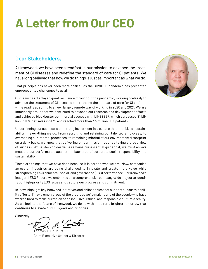## <span id="page-2-0"></span>**A Letter from Our CEO**

## **Dear Stakeholders,**

At Ironwood, we have been steadfast in our mission to advance the treatment of GI diseases and redefine the standard of care for GI patients. We have long believed that how we do things is just as important as what we do.

That principle has never been more critical, as the COVID-19 pandemic has presented unprecedented challenges to us all.

Our team has displayed great resilience throughout the pandemic, working tirelessly to advance the treatment of GI diseases and redefine the standard of care for GI patients while readily adapting to a new, largely remote way of working in 2020 and 2021. We are immensely proud that we continued to advance our research and development efforts and achieved blockbuster commercial success with LINZESS®, which surpassed \$1 billion in U.S. net sales in 2021 and reached more than 3.5 million U.S. patients.

Underpinning our success is our strong investment in a culture that prioritizes sustainability in everything we do. From recruiting and retaining our talented employees, to overseeing our internal processes, to remaining mindful of our environmental footprint on a daily basis, we know that delivering on our mission requires taking a broad view of success. While stockholder value remains our essential guidepost, we must always measure our performance against the backdrop of corporate social responsibility and sustainability.

These are things that we have done because it is core to who we are. Now, companies across all industries are being challenged to innovate and create more value while strengthening environmental, social, and governance (ESG) performance. For Ironwood's inaugural ESG Report, we embarked on a comprehensive company-wide project to identify our high-priority ESG issues and capture our progress and commitment.

In it, we highlight key Ironwood initiatives and philosophies that support our sustainability efforts. I'm extremely proud of the progress we're making and of the people who have worked hard to make our vision of an inclusive, ethical and responsible culture a reality. As we look to the future of Ironwood, we do so with hope for a brighter tomorrow that continues to elevate our ESG goals and priorities.

Sincerely,

on M'Carbo

Thomas A. McCourt Chief Executive Officer & Director

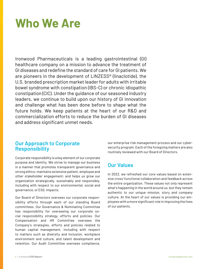## <span id="page-3-0"></span>**Who We Are**

Ironwood Pharmaceuticals is a leading gastrointestinal (GI) healthcare company on a mission to advance the treatment of GI diseases and redefine the standard of care for GI patients. We are pioneers in the development of LINZESS® (linaclotide), the U.S. branded prescription market leader for adults with irritable bowel syndrome with constipation (IBS-C) or chronic idiopathic constipation (CIC). Under the guidance of our seasoned industry leaders, we continue to build upon our history of GI innovation and challenge what has been done before to shape what the future holds. We keep patients at the heart of our R&D and commercialization efforts to reduce the burden of GI diseases and address significant unmet needs.

### **Our Approach to Corporate Responsibility**

Corporate responsibility is a key element of our corporate purpose and identity. We strive to manage our business in a manner that promotes transparent governance and strong ethics; maintains extensive patient, employee and other stakeholder engagement; and helps us grow our organization strategically, sustainably and responsibly, including with respect to our environmental, social and governance, or ESG, impacts.

Our Board of Directors oversees our corporate responsibility efforts through each of our standing Board committees. Our Governance & Nominating Committee has responsibility for overseeing our corporate social responsibility strategy, efforts and policies. Our Compensation and HR Committee oversees the Company's strategies, efforts and policies related to human capital management, including with respect to matters such as diversity and inclusion, workplace environment and culture, and talent development and retention. Our Audit Committee oversees compliance,

our enterprise risk management process and our cybersecurity program. Each of the foregoing matters are also routinely reviewed with our Board of Directors.

## **Our Values**

In 2022, we refreshed our core values based on extensive cross-functional collaboration and feedback across the entire organization. These values not only represent what's happening in the world around us, but they remain authentic to our unique mission, story and company culture. At the heart of our values is providing our employees with a more significant role in improving the lives of our patients.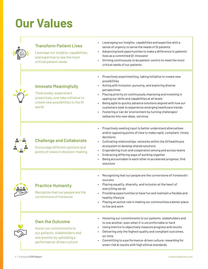## **Our Values**

| <b>Transform Patient Lives</b><br>Leverage our insights, capabilities,<br>and expertise to see the most<br>critical patient needs                | Leveraging our insights, capabilities and expertise with a<br>sense of urgency to serve the needs of GI patients<br>Advancing bold opportunities to make a difference in patients'<br>lives as a committed GI-innovator<br>Striving continuously to be patient-centric to meet the most<br>critical needs of our patients                                                                                                                                                                            |
|--------------------------------------------------------------------------------------------------------------------------------------------------|------------------------------------------------------------------------------------------------------------------------------------------------------------------------------------------------------------------------------------------------------------------------------------------------------------------------------------------------------------------------------------------------------------------------------------------------------------------------------------------------------|
| <b>Innovate Meaningfully</b><br>Think boldly, experiment<br>proactively, and take initiative to<br>create new possibilities in the GI<br>world   | Proactively experimenting, taking initiative to create new<br>possibilities<br>Acting with inclusion, pursuing, and exploring diverse<br>perspectives<br>Placing priority on continuously improving and investing in<br>upping our skills and capabilities at all levels<br>Being agile to quickly advance solutions aligned with how our<br>customers seek to experience emerging healthcare trends<br>Fostering a 'can do' environment by turning challenges/<br>setbacks into new ideas, services |
| <b>Challenge and Collaborate</b><br>Encourage different opinions and<br>points of views in decision-making                                       | Proactively seeking input to better understand alternatives<br>and/or opposing points of view to make rapid, compliant, timely<br>decisions<br>Cultivating relationships, networks within the GI/healthcare<br>ecosystem to develop shared solutions<br>Engendering trust and cooperation among and across teams<br>Embracing differing ways of working together<br>Being accountable to each other to accelerate progress, find<br>solutions                                                        |
| <b>Practice Humanity</b><br>Recognize that our people are the<br>cornerstone of Ironwood                                                         | Recognizing that our people are the cornerstone of Ironwood's<br>success<br>Placing equality, diversity, and inclusion at the heart of<br>everything we do<br>Providing opportunities to have fun and maintain a flexible and<br>healthy lifestyle<br>Playing an active role in making our communities a better place<br>to live and work                                                                                                                                                            |
| <b>Own the Outcome</b><br>Honor our commitments to<br>our patients, stakeholders and<br>one another by upholding a<br>performance-driven culture | Honoring our commitments to our patients, stakeholders and<br>to one another, even when it is uncomfortable or hard<br>Using metrics to objectively measure progress and results<br>Delivering only the highest quality and compliant outcomes,<br>on-time<br>Committing to a performance-driven culture; rewarding for<br>smart risk & results with high ethical standards                                                                                                                          |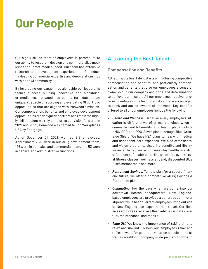## <span id="page-5-0"></span>**Our People**

Our highly skilled team of employees is paramount to our ability to research, develop and commercialize medicines for unmet medical need. Our team has extensive research and development experience in GI, industry-leading commercial expertise and deep relationships within the GI community.

By leveraging our capabilities alongside our leadership team's success building innovative and blockbuster medicines, Ironwood has built a formidable team uniquely capable of sourcing and evaluating GI portfolio opportunities that are aligned with Ironwood's mission. Our compensation, benefits and employee development opportunities are designed to attract and retain the highly skilled talent we rely on to drive our vision forward. In 2021 and 2022, Ironwood was named to Top Workplaces USA by Energage.

As of December 31, 2021, we had 219 employees. Approximately 40 were in our drug development team, 126 were in our sales and commercial team, and 53 were in general and administrative functions.

## **Attracting the Best Talent**

#### **Compensation and Benefits**

Attracting the best talent starts with offering competitive compensation and benefits, and particularly compensation and benefits that give our employees a sense of ownership in our company and pride and determination to achieve our mission. All our employees receive longterm incentives in the form of equity and are encouraged to think and act as owners of Ironwood. Key benefits offered to all of our employees include the following:

- *Health and Wellness.* Because every employee's situation is different, we offer many choices when it comes to health benefits. Our health plans include HMO, PPO and PPO Saver plans through Blue Cross Blue Shield. We have FSA plans to help with medical and dependent care expenses. We also offer dental and vision programs, disability benefits and life insurance. To help our employees stay healthy, we also offer plenty of health perks like an on-site gym, virtual fitness classes, wellness stipend, discounted Blue Bikes membership and more.
- *Retirement Savings.* To help plan for a secure financial future, we offer a competitive 401(k) Savings & Retirement plan.
- *Commuting.* For the days when we come into our downtown Boston headquarters, New Englandbased employees are provided a generous commuter stipend, while headquarters employees living outside of New England can expense their travel. Our field sales employees receive a fleet vehicle – and we cover fuel, maintenance, and repairs.
- *Time Off.* We know the importance of taking time to relax and unwind. To help our employees relax and refresh, we offer generous vacation and sick time as well as weeklong, company-wide paid shutdowns to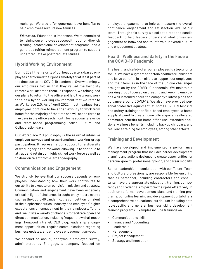recharge. We also offer generous leave benefits to help employees nurture new families.

• *Education.* Education is important. We're committed to helping our employees succeed through on-the-job training, professional development programs, and a generous tuition reimbursement program to support undergraduate or postgraduate studies.

#### **Hybrid Working Environment**

During 2021, the majority of our headquarters-based employees performed their jobs remotely for at least part of the time due to the COVID-19 pandemic. Overwhelmingly, our employees told us that they valued the flexibility remote work afforded them. In response, we reimagined our plans to return to the office and laid the groundwork for a new hybrid working environment that we refer to as Workplace 2.0. As of April 2022, most headquarters employees continue to have the flexibility to work from home for the majority of the time and will spend three to five days in the office each month for headquarters-wide and team-based programming called Culture and Collaboration days.

Our Workplace 2.0 philosophy is the result of intensive employee surveys and cross-functional working group participation. It represents our support for a diversity of working styles at Ironwood, allowing us to continue to attract and retain our highly skilled work force as well as to draw on talent from a larger geography.

#### **Communication and Engagement**

We strongly believe that our success depends on employees understanding how their work contributes to our ability to execute on our vision, mission and strategy. Communication and engagement have been especially critical in light of challenges brought on by macro events such as the COVID-19 pandemic, the competition for talent in the biopharmaceutical industry and employees' higher expectations on engagement by their employers. To this end, we utilize a variety of channels to facilitate open and direct communication, including frequent town hall meetings, Ironwood intranet, CEO blog, leadership engagement opportunities, regular communications regarding business updates, and employee engagement surveys.

We conduct an annual, anonymous employee survey, administered by Energage, a company focused on

employee engagement, to help us measure the overall confidence, engagement and satisfaction level of our team. Through this survey we collect direct and candid feedback to help leaders understand what drives engagement at Ironwood and to inform our overall culture and engagement strategy.

#### **Health, Wellness and Safety in the Face of the COVID-19 Pandemic**

The health and safety of all our employees is a top priority for us. We have augmented certain healthcare, childcare and leave benefits in an effort to support our employees and their families in the face of the unique challenges brought on by the COVID-19 pandemic. We maintain a working group focused on creating and keeping employees well informed about the company's latest plans and guidance around COVID-19. We also have provided personal protective equipment, at-home COVID-19 test kits and safety trainings for field-based employees, a home supply stipend to create home office space, reallocated commuter benefits for home office use, extended additional wellness benefits including backup childcare, and resilience training for employees, among other efforts.

#### **Training and Development**

We have developed and implemented a performance management program that includes career development planning and actions designed to create opportunities for personal growth, professional growth, and career mobility.

Senior leadership, in conjunction with our Talent, Team and Culture professionals, are responsible for ensuring that all personnel, including contractors and consultants, have the appropriate education, training, competency and credentials to perform their jobs effectively. In addition to formal development plans and training programs, our online learning and development portal offers a comprehensive educational curriculum including both job-specific and general business skills development training programs. Examples include trainings on:

- Communications skills
- Finance and Accounting
- **Leadership**
- Management
- Project Management
- Strategy and Innovation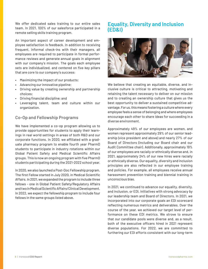We offer dedicated sales training to our entire sales team. In 2021, 100% of our salesforce participated in a remote selling skills training program.

An important aspect of career development and employee satisfaction is feedback. In addition to receiving frequent, informal check-ins with their managers, all employees are required to participate in formal performance reviews and generate annual goals in alignment with our company's mission. The goals each employee sets are individualized, and centered on five key pillars that are core to our company's success:

- Maximizing the impact of our products;
- Advancing our innovative pipeline;
- Driving value by creating ownership and partnership choices;
- Driving financial discipline; and
- Leveraging talent, team and culture within our organization.

#### **Co-Op and Fellowship Programs**

We have implemented a co-op program allowing us to provide opportunities for students to apply their learnings in real world settings in areas of both R&D and our corporate functions. In 2020, we affiliated with a graduate pharmacy program to enable fourth year PharmD students to participate in industry rotations within our Global Patient Safety and Medical Scientific Affairs groups. This is now an ongoing program with five PharmD students participating during the 2021-2022 school year.

In 2020, we also launched a Post-Doc Fellowship program. The first Fellow started in July 2020, in Medical Scientific Affairs. In 2021, we expanded the program to include three fellows - one in Global Patient Safety/Regulatory Affairs and two in Medical Scientific Affairs/Clinical Development. In 2022, we expect the fellowship program to include four fellows in the same groups listed above.

### **Equality, Diversity and Inclusion (ED&I)**



We believe that creating an equitable, diverse, and inclusive culture is critical to attracting, motivating and retaining the talent necessary to deliver on our mission and to creating an ownership culture that gives us the best opportunity to deliver a sustained competitive advantage. For us, this means fostering a culture where every employee feels a sense of belonging and where employees encourage each other to share ideas for succeeding in a diverse environment.

Approximately 49% of our employees are women, and women represent approximately 29% of our senior leadership (vice president and above) and nearly 27% of our Board of Directors (including our Board chair and our Audit Committee chair). Additionally, approximately 19% of our employees are racially or ethnically diverse and, in 2021, approximately 24% of our new hires were racially or ethnically diverse. Our equality, diversity and inclusion principles are also reflected in our employee training and policies. For example, all employees receive annual harassment prevention training and biennial training in unconscious bias.

In 2021, we continued to advance our equality, diversity, and inclusion, or EDI, initiatives with strong advocacy by our leadership team and Board of Directors. In 2021, we incorporated into our corporate goals an EDI scorecard reflecting numerous metrics and deliverables. Over the course of the year, we achieved our target level of performance on these EDI metrics. We strove to ensure that our candidate pools were diverse and, as a result, both of the executive officers hired in 2021 represent diverse populations. For 2022, we are committed to furthering our EDI efforts consistent with our long-term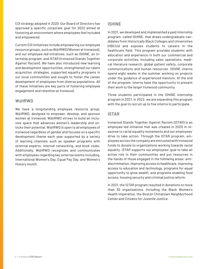EDI strategy adopted in 2020. Our Board of Directors has approved a specific corporate goal for 2022 aimed at fostering an environment where employees feel included and empowered.

Current EDI initiatives include empowering our employee resource groups, such as W@IRWD (Women at Ironwood), and our employee-led initiatives, such as ISHINE, an internship program, and ISTAR (Ironwood Stands Together Against Racism). We have also introduced new learning and development opportunities, strengthened our talent acquisition strategies, supported equality programs in our local communities and sought to foster the career development of employees from diverse populations. All of these initiatives are key parts of fostering employee engagement and retention at Ironwood.

#### **W@IRWD**

We have a longstanding employee resource group, W@IRWD, designed to empower, develop, and sponsor women at Ironwood. W@IRWD strives to build an inclusive space that advances women's leadership and unlocks their potential. W@IRWD is open to all employees of Ironwood regardless of gender and focuses on a specific development theme each year supported by a variety of learning channels such as speaker programs with external experts, internal networking, and book clubs. Additionally, W@IRWD recognizes and communicates with employees regarding key external events including, International Women's Day, Equal Pay Day, and Women's History month.

#### **ISHINE**

In 2021, we developed and implemented a paid internship program, called ISHINE, that draws undergraduate candidates from Historically Black Colleges and Universities (HBCUs) and exposes students to careers in the healthcare field. This program provides students with education and experience in both our commercial and corporate activities, including sales operations, medical literature research, global patient safety, corporate communications and human resources. ISHINE interns spend eight weeks in the summer working on projects under the guidance of experienced mentors. At the end of the program, interns have the opportunity to present their work to the larger Ironwood community.

Three students participated in the ISHINE internship program in 2021. In 2022, we are expanding this program with the goal to recruit up to five interns to participate.

#### **ISTAR**

Ironwood Stands Together Against Racism (ISTAR) is an employee-led initiative that was created in 2020 in response to racial equality movements and our employees' drive to take action. Through the ISTAR program, employees across the company are entrusted with Ironwood funds to donate to organizations working towards racial equality. ISTAR supports our employees' goal to take an active role in their communities and put resources in the hands of those engaged in the following areas: antidiscrimination, improving access to healthcare, improving access to education and technology, programs for equal opportunity to grow wealth, and programs enabling food access, housing security and criminal justice reform.

In 2021, the ISTAR program resulted in donations to more than 30 organizations, including the Black Women's Health Imperative, the Boston Chinatown Neighborhood Center and Citizens for Juvenile Justice.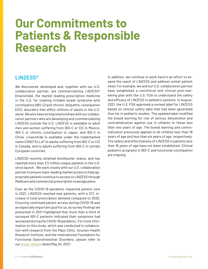## <span id="page-9-0"></span>**Our Commitments to Patients & Responsible Research**

### **LINZESS®**

We discovered, developed and, together with our U.S. collaboration partner, are commercializing LINZESS® (linaclotide), the market leading prescription medicine in the U.S. for treating irritable bowel syndrome with constipation (IBS-C) and chronic idiopathic constipation (CIC), disorders that afflict millions of adults in the U.S. alone. We also have strong relationships with our collaboration partners who are developing and commercializing LINZESS outside the U.S. LINZESS is available to adult men and women suffering from IBS-C or CIC in Mexico, IBS-C or chronic constipation in Japan, and IBS-C in China. Linaclotide is available under the trademarked name CONSTELLA® to adults suffering from IBS-C or CIC in Canada, and to adults suffering from IBS-C in certain European countries.

LINZESS recently attained blockbuster status, and has reached more than 3.5 million unique patients in the U.S. since launch. We work closely with our U.S. collaboration partner to ensure class-leading market access to help appropriate patients continue to access to LINZESS through Medicare and commercial prescription coverage plans.

Even as the COVID-19 pandemic impacted patient care in 2021, LINZESS reached new patients, with a 12% increase in total prescription demand compared to 2020. Ensuring continued patient access during COVID-19 was an especially important goal for us, as survey findings we presented in 2021 highlighted that more than a third of surveyed IBS-C patients indicated their symptoms had worsened during the COVID-19 pandemic. For more information on this study, which was conducted in collaboration with research from the Mayo Clinic, Acumen Health Research Institute, and the International Foundation for Functional Gastrointestinal Disorders, please refer to our [press release](https://investor.ironwoodpharma.com/press-releases/press-release-details/2021/More-Than-a-Third-of-Surveyed-IBS-C-Patients-Reported-That-Their-Symptoms-Worsened-During-COVID-19-According-to-New-Survey-Findings-Presented-by-Ironwood-Pharmaceuticals-at-Digestive-Disease-Week-DDW/default.aspx) dated May 24, 2021.

In addition, we continue to work hard in an effort to expand the reach of LINZESS and address unmet patient need. For example, we and our U.S. collaboration partner have established a nonclinical and clinical post-marketing plan with the U.S. FDA to understand the safety and efficacy of LINZESS in pediatric patients. In August, 2021, the U.S. FDA approved a revised label for LINZESS based on clinical safety data that had been generated thus far in pediatric studies. The updated label modified the boxed warning for risk of serious dehydration and contraindication against use in children to those less than two years of age. The boxed warning and contraindication previously applied to all children less than 18 years of age and less than six years of age, respectively. The safety and effectiveness of LINZESS in patients less than 18 years of age have not been established. Clinical pediatric programs in IBS-C and functional constipation are ongoing.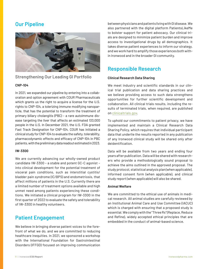## **Our Pipeline**



#### **Strengthening Our Leading GI Portfolio**

#### **CNP-104**

In 2021, we expanded our pipeline by entering into a collaboration and option agreement with COUR Pharmaceuticals which grants us the right to acquire a license for the U.S. rights to CNP-104, a tolerizing immune modifying nanoparticle, that has the potential to transform the treatment of primary biliary cholangitis (PBC) – a rare autoimmune disease targeting the liver that affects an estimated 133,000 people in the U.S. In December 2021, the U.S. FDA granted Fast Track Designation for CNP-104. COUR has initiated a clinical study for CNP-104 to evaluate the safety, tolerability, pharmacodynamic effects and efficacy of CNP-104 in PBC patients, with the preliminary data readout estimated in 2023.

#### **IW-3300**

We are currently advancing our wholly-owned product candidate IW-3300 – a stable and potent GC-C agonist – into clinical development for the potential treatment of visceral pain conditions, such as interstitial cystitis/ bladder pain syndrome (IC/BPS) and endometriosis, that affect millions of patients in the U.S. Currently there are a limited number of treatment options available and high unmet need among patients experiencing these conditions. We initiated a clinical program for IW-3300 in the first quarter of 2022 to evaluate the safety and tolerability of IW-3300 in healthy volunteers.

## **Patient Engagement**

We believe in bringing diverse patient voices to the forefront of what we do, and we are committed to reducing healthcare inequities. In 2021, we sponsored a workshop with the International Foundation for Gastrointestinal Disorders (IFFGD) focused on improving communication

between physicians and patients living with GI disease. We also partnered with the digital platform PatientsLikeMe to bolster support for patient advocacy. Our clinical trials are designed to minimize patient burden and improve access to investigational drugs by all demographics. It takes diverse patient experiences to inform our strategy, and we work hard to amplify those experiences both within Ironwood and in the broader GI community.

## **Responsible Research**

#### **Clinical Research Data Sharing**

We meet industry and scientific standards in our clinical trial publication and data sharing practices and we believe providing access to such data strengthens opportunities for further scientific development and collaboration. All clinical trials results, including the results of terminated trials, when required, are published on [clinicaltrials.gov.](http://clinicaltrials.gov)

To uphold our commitments to patient privacy, we have implemented and maintain a Clinical Research Data Sharing Policy, which requires that individual participant data that underlie the results reported in any publication of any Ironwood clinical study will be shared only after deidentification.

Data will be available from two years and ending four years after publication. Data will be shared with researchers who provide a methodologically sound proposal to achieve the aims outlined in the approved proposal. The study protocol, statistical analysis plan (when applicable), informed consent form (when applicable), and clinical study report (when applicable) will also be shared.

#### **Animal Welfare**

We are committed to the ethical use of animals in medical research. All animal studies are carefully reviewed by an Institutional Animal Care and Use Committee (IACUC) which is charged with ensuring that a proposed study is essential. We comply with the "Three Rs" (Replace, Reduce and Refine), widely accepted ethical principles that are embedded in the conduct of animal-based science.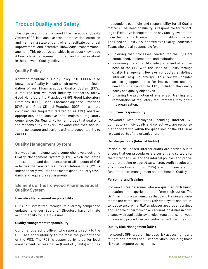## **Product Quality and Safety**

The objective of the Ironwood Pharmaceutical Quality System (PQS) is to achieve product realization, establish and maintain a state of control, and facilitate continual improvement and effective knowledge transfer/management. This objective is enabled by a robust knowledge & Quality Risk Management program and is memorialized in the Ironwood Quality policy.

#### **Quality Policy**

Ironwood maintains a Quality Policy (POL-000002, also known as a Quality Manual) which serves as the foundation of our Pharmaceutical Quality System (PQS). It requires that we meet industry standards, follow Good Manufacturing Practices (GMP), Good Laboratory Practices (GLP), Good Pharmacovigilance Practices (GVP), and Good Clinical Practices (GCP) (all aspects combined are frequently referred to as GXP) wherever appropriate, and achieve and maintain regulatory compliance. Our Quality Policy reinforces that quality is the responsibility of every Ironwood employee and internal contractor and assigns ultimate accountability to our CEO.

#### **Quality Management System**

Ironwood has implemented a comprehensive electronic Quality Management System (eQMS) which facilitates the execution and documentation of all aspects of GxP activities that are required by regulations. The QMS is independently evaluated and meets global industry standards and regulatory requirements.

#### **Elements of the Ironwood Pharmaceutical Quality System**

#### **Executive Management responsibility**

Our Audit Committee, through its quarterly compliance updates, and our Board of Directors have ultimate accountability for Quality issues.

#### **Quality Management responsibility**

Our Chief Operating Officer, who reports directly to the CEO, has accountability to maintain the performance of the PQS. The PQS is supported by a senior level management representative (Head of Quality) who has

independent oversight and responsibility for all Quality matters. The Head of Quality is responsible for reporting to Executive Management on any Quality events that have the potential to impact product quality and safety. The Head of Quality is supported by a Quality Leadership Team, who are all responsible for:

- Ensuring that processes needed for the PQS are established, implemented, and maintained.
- Reviewing the suitability, adequacy, and effectiveness of the PQS with the Head of Quality through Quality Management Reviews conducted at defined intervals (e.g., quarterly). This review includes assessing opportunities for improvement and the need for changes to the PQS, including the quality policy and quality objectives.
- Ensuring the promotion of awareness, training, and remediation of regulatory requirements throughout the organization.

#### **Employee Responsibility**

Ironwood's GxP employees (including internal GxP contractors), individually and collectively, are responsible for operating within the guidelines of the PQS in all relevant parts of the organization.

#### **Self-Inspections (Internal Audits)**

Periodic, risk-based internal audits are carried out to ensure that our procedures are current and suitable for their intended use, and the internal policies and procedures are being executed as written. Audit results and any corrective actions (CAPA) are communicated to functional area management and the Head of Quality.

#### **Personnel and Training**

Ironwood hires personnel who are qualified by training, education, and experience to perform their duties. The GxP Training program ensures that basic training requirements are established for all GxP employees and are intended to ensure that GxP employees are properly trained and capable of performing all required job duties in compliance with applicable laws, rules, regulations, Ironwood policies and procedures, and industry best practices.

#### **Quality Risk Management (QRM)**

Ironwood's QRM program includes risk assessments and mitigation elements of all GxP activities, including those risks to computerized systems.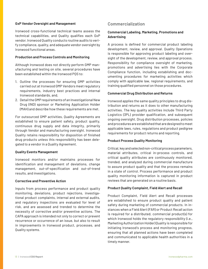#### **GxP Vendor Oversight and Management**

Ironwood cross-functional technical teams assess the technical capabilities, and Quality qualifies each GxP vendor. Ironwood Quality conducts routine audits to verify compliance, quality, and adequate vendor oversight by Ironwood functional areas.

#### **Production and Process Controls and Monitoring**

Although Ironwood does not directly perform GMP manufacturing and testing on site, several procedures have been established within the Ironwood PQS to:

- 1. Outline the processes for ensuring GMP activities carried out at Ironwood GMP Vendors meet regulatory requirements, industry best practices and internal Ironwood standards, and,
- 2. Detail the GMP requirements of an Investigational New Drug (IND) sponsor or Marketing Application Holder (MAH) and describe how these requirements are met.

For outsourced GMP activities, Quality Agreements are established to ensure patient safety, product quality, continuous drug supply and data integrity, primarily through Vendor and manufacturing oversight. Ironwood Quality retains responsibility for disposition of finished drug products unless this responsibility has been delegated to a vendor in a Quality Agreement.

#### **Quality Events Management**

Ironwood monitors and/or maintains processes for identification and management of deviations, change management, out-of-specification and out-of-trend results, and investigations.

#### **Corrective and Preventive Action**

Inputs from process performance and product quality monitoring, deviations, product rejections, investigational product complaints, internal and external audits, and regulatory inspections are evaluated for level of risk, and are assessed and trended to determine the necessity of corrective and/or preventive actions. The CAPA approach is intended not only to correct or prevent recurrence or occurrence of an issue, but also to result in improvements in Ironwood product, processes, and Quality systems.

#### **Commercialization**

#### **Commercial Labeling, Marketing, Promotions and Advertising**

A process is defined for commercial product labeling development, review, and approval. Quality Operations is responsible for approving product labeling and oversight of the development, review, and approval process. Responsibility for compliance oversight of marketing, promotions and advertising lies with the Corporate Compliance function, including establishing and documenting procedures for marketing activities which comply with applicable law, regional requirements, and training qualified personnel on those procedures.

#### **Commercial Drug Distribution and Returns**

Ironwood applies the same quality principles to drug distribution and returns as it does to other manufacturing activities. The key quality activities include Third Party Logistics (3PL) provider qualification, and subsequent ongoing oversight. Drug distribution processes, policies and procedures are established that are designed to meet applicable laws, rules, regulations and product pedigree requirements for product returns and reporting.

#### **Product Process Quality Monitoring**

Critical, key and selected non-critical process parameters, material attributes, critical in-process controls, and critical quality attributes are continuously monitored, trended, and analyzed during commercial manufacture to assure product quality and that the process remains in a state of control. Process performance and product quality monitoring information is captured in product reviews that are generated on a routine basis.

#### **Product Quality Complaint, Field Alert and Recall**

Product Complaint, Field Alert and Recall processes are established to ensure product quality and patient safety during marketing of commercial products. In instances when a Field Alert (FAR) or Product Recall action is required for a distributed, commercial product(s) for which Ironwood holds the regulatory responsibility (i.e., Marketing Authorization Holder) Quality is responsible for initiating Ironwood's process and monitoring progress, ensuring that all planned actions have been completed and communicated to applicable health authorities in a timely manner.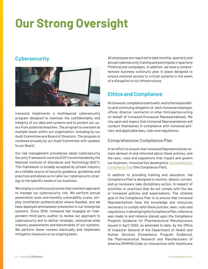## <span id="page-13-0"></span>**Our Strong Oversight**

## **Cybersecurity**



Ironwood implements a multilayered cybersecurity program designed to maintain the confidentiality and integrity of our data and systems and to protect our users from potential breaches. The program is overseen at multiple levels within our organization, including by our Audit Committee and Board of Directors. The program is reviewed annually by our Audit Committee with updates to our Board.

Our risk management procedures adopt Cybersecurity Security Framework controls (CSF) recommended by the National Institute of Standards and Technology (NIST). This framework is broadly accepted by private industry as a reliable source of security guidance, guidelines and practices and allows us to tailor our cybersecurity strategy to the specific needs of our business.

We employ a continuous process improvement approach to manage our cybersecurity risk. We perform annual penetration tests and monthly vulnerability scans, employ multifactor authentication where feasible, and we have deployed antimalware prevention in our enterprise systems. Since 2018, Ironwood has engaged an independent third-party auditor to review our approach to cybersecurity and to deliver strategic, enterprise-wide industry assessments and benchmarks of our systems. We perform these reviews biannually and implement mitigation measures on an ongoing basis.

All employees are required to take monthly, quarterly and annual cybersecurity training and participate in quarterly Phishing test campaigns. In addition, we have a comprehensive business continuity plan in place designed to ensure restored access to critical systems in the event of a disruption to our infrastructure.

## **Ethics and Compliance**

At Ironwood, compliance starts with, and is the responsibility and continuing obligation of, each Ironwood employee, officer, director, contractor or other third parties acting on behalf of Ironwood (Ironwood Representatives). We rely upon and expect that Ironwood Representatives will conduct themselves in compliance with Ironwood policies, and applicable laws, rules and regulations.

#### **Comprehensive Compliance Plan**

In an effort to ensure that Ironwood Representatives remain abreast of and informed about these policies, and the laws, rules and regulations that impact and govern our business, Ironwood has developed a [Comprehensive](https://s2.q4cdn.com/924599680/files/doc_downloads/governance_documents/2021/Ironwood-Comprehensive-Compliance-Plan-(002).pdf) [Compliance Plan](https://s2.q4cdn.com/924599680/files/doc_downloads/governance_documents/2021/Ironwood-Comprehensive-Compliance-Plan-(002).pdf) (the Compliance Plan).

In addition to providing training and education, the Compliance Plan is designed to monitor, detect, correct, and as necessary take disciplinary action, in respect of activities or practices that do not comply with the law or Ironwood policies and expectations. The ultimate goal of the Compliance Plan is to ensure that Ironwood Representatives have the knowledge and resources necessary to comply with these policies, laws, rules and regulations. In developing the Compliance Plan, reference was made to and reliance placed upon the Compliance Program Guidance for Pharmaceutical Manufacturers issued in April 2003, as amended to date, by the Office of Inspector General of the Department of Health and Human Services (Compliance Program Guidance), the Pharmaceutical Research and Manufacturers of America (PhRMA) Code on Interactions with Healthcare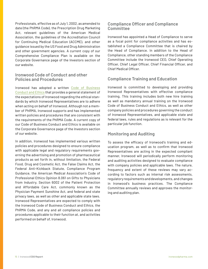Professionals, effective as of July 1, 2002, as amended to date (the PhRMA Code), the Prescription Drug Marketing Act, relevant guidelines of the American Medical Association, the guidelines of the Accreditation Council for Continuing Medical Education (ACCME), and other guidance issued by the US Food and Drug Administration and other government agencies. A current copy of our Comprehensive Compliance Plan is available on the Corporate Governance page of the Investors section of our website.

#### **Ironwood Code of Conduct and other Policies and Procedures**

Ironwood has adopted a written [Code of Business](https://s2.q4cdn.com/924599680/files/doc_downloads/governance_documents/IPI-BCP-022-Code-of-Business-Conduct-and-Ethics-(6.2.2021)-External-Website-Version.pdf)  [Conduct and Ethics](https://s2.q4cdn.com/924599680/files/doc_downloads/governance_documents/IPI-BCP-022-Code-of-Business-Conduct-and-Ethics-(6.2.2021)-External-Website-Version.pdf) that provides a general statement of the expectations of Ironwood regarding the ethical standards by which Ironwood Representatives are to adhere when acting on behalf of Ironwood. Although not a member of PhRMA, Ironwood supports and has implemented written policies and procedures that are consistent with the requirements of the PhRMA Code. A current copy of our Code of Business Conduct and Ethics is available on the Corporate Governance page of the Investors section of our website.

In addition, Ironwood has implemented various written policies and procedures designed to ensure compliance with applicable legal and regulatory requirements governing the advertising and promotion of pharmaceutical products as set forth in, without limitation, the Federal Food, Drug and Cosmetic Act, the False Claims Act, the Federal Anti-Kickback Statute, Compliance Program Guidance, the American Medical Association's Code of Professional Ethics Opinion 8.061 on Gifts to Physicians from Industry, Section 6002 of the Patient Protection and Affordable Care Act, commonly known as the Physician Payment Sunshine Act, and federal and state privacy laws, as well as other and applicable state laws. Ironwood Representatives are expected to comply with the Ironwood Code of Business Conduct and Ethics, the PhRMA Code, and any and all compliance policies and procedures applicable to their function at, and activities performed on behalf of, Ironwood.

#### **Compliance Officer and Compliance Committee**

Ironwood has appointed a Head of Compliance to serve as a focal point for compliance activities and has established a Compliance Committee that is chaired by the Head of Compliance. In addition to the Head of Compliance, other standing members of the Compliance Committee include the Ironwood CEO, Chief Operating Officer, Chief Legal Officer, Chief Financial Officer, and Chief Medical Officer.

#### **Compliance Training and Education**

Ironwood is committed to developing and providing Ironwood Representatives with effective compliance training. This training includes both new hire training as well as mandatory annual training on the Ironwood Code of Business Conduct and Ethics, as well as other company policies and procedures governing the conduct of Ironwood Representatives, and applicable state and federal laws, rules and regulations as is relevant for the particular job function.

#### **Monitoring and Auditing**

To assess the efficacy of Ironwood's training and education program, as well as to confirm that Ironwood Representatives are acting in the expected compliant manner, Ironwood will periodically perform monitoring and auditing activities designed to evaluate compliance with company policies and applicable laws. The nature, frequency and extent of these reviews may vary according to factors such as internal risk assessments, regulatory requirements and developments, and changes in Ironwood's business practices. The Compliance Committee annually reviews and approves the monitoring and auditing plan.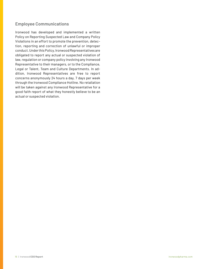#### **Employee Communications**

Ironwood has developed and implemented a written Policy on Reporting Suspected Law and Company Policy Violations in an effort to promote the prevention, detection, reporting and correction of unlawful or improper conduct. Under this Policy, Ironwood Representatives are obligated to report any actual or suspected violation of law, regulation or company policy involving any Ironwood Representative to their managers, or to the Compliance, Legal or Talent, Team and Culture Departments. In addition, Ironwood Representatives are free to report concerns anonymously 24 hours a day, 7 days per week through the Ironwood Compliance Hotline. No retaliation will be taken against any Ironwood Representative for a good faith report of what they honestly believe to be an actual or suspected violation.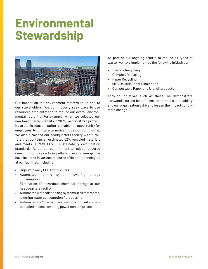## <span id="page-16-0"></span>**Environmental Stewardship**



Our impact on the environment matters to us and to our stakeholders. We continuously seek ways to use resources efficiently and to reduce our overall environmental footprint. For example, when we selected our new headquarters facility in 2019, we prioritized proximity to public transportation to enable the opportunity for employees to utilize alternative modes of commuting. We also furnished our headquarters facility with furniture that contains an estimated 52% recycled materials and meets BIFMA's LEVEL sustainability certification standards. As per our commitment to reduce resource consumption by practicing efficient use of energy, we have invested in various resource efficient technologies at our facilities, including:

- High efficiency LED light fixtures
- Automated lighting system, lowering energy consumption
- Elimination of hazardous chemical storage at our headquarters facility
- Automated water dispensing systems in all restrooms, lowering water consumption / processing
- Automated HVAC schedule allowing occupied and unoccupied modes, lowering power consumptions.

As part of our ongoing efforts to reduce all types of waste, we have implemented the following initiatives:

- Plastics Recycling
- Compost Recycling
- Paper Recycling
- 90% On-site Paper Elimination
- Compostable Paper and Utensil products

Through initiatives such as these, we demonstrate Ironwood's strong belief in environmental sustainability and our organization's drive to lessen the impacts of climate change.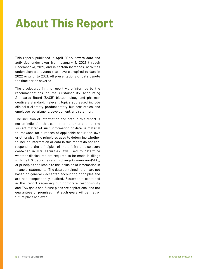## <span id="page-17-0"></span>**About This Report**

This report, published in April 2022, covers data and activities undertaken from January 1, 2021 through December 31, 2021, and in certain instances, activities undertaken and events that have transpired to date in 2022 or prior to 2021. All presentations of data denote the time period covered.

The disclosures in this report were informed by the recommendations of the Sustainability Accounting Standards Board (SASB) biotechnology and pharmaceuticals standard. Relevant topics addressed include clinical trial safety, product safety, business ethics, and employee recruitment, development, and retention.

The inclusion of information and data in this report is not an indication that such information or data, or the subject matter of such information or data, is material to Ironwood for purposes of applicable securities laws or otherwise. The principles used to determine whether to include information or data in this report do not correspond to the principles of materiality or disclosure contained in U.S. securities laws used to determine whether disclosures are required to be made in filings with the U.S. Securities and Exchange Commission (SEC), or principles applicable to the inclusion of information in financial statements. The data contained herein are not based on generally accepted accounting principles and are not independently audited. Statements contained in this report regarding our corporate responsibility and ESG goals and future plans are aspirational and not guarantees or promises that such goals will be met or future plans achieved.